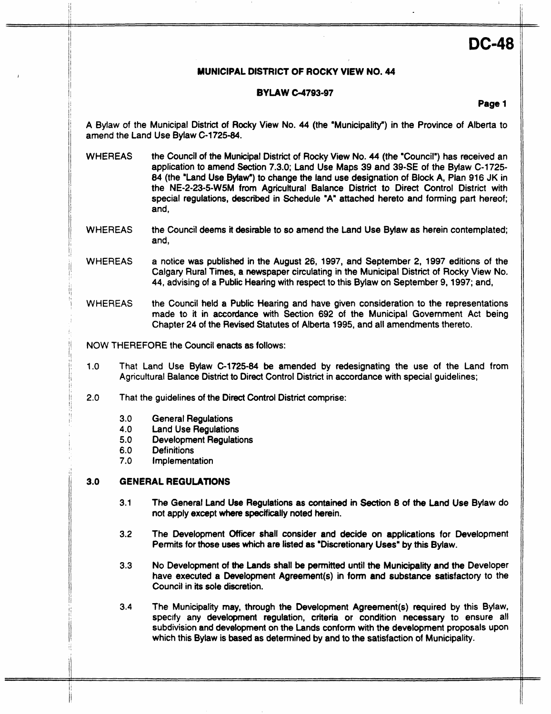# **DC-48**

# **MUNICIPAL DISTRICT OF ROCKY VIEW NO. 44**

ii 1980 - Andrea Andrea Andrea Andrea Andrea Andrea Andrea Andrea Andrea Andrea Andrea Andrea Andrea Andrea A<br>I

# **BYLAW 64793-97**

**Page 1** 

A Bylaw of the Municipal District of Rocky View No. 44 (the 'Municipalrty") in the Province of Alberta to amend the Land Use Bylaw C-1725-84.

- WHEREAS the Council of the Municipal District of Rocky View No. 44 (the "Council") has received an application to amend Section 7.3.0; Land Use Maps **39** and 39-SE of the Bylaw C-1725- *84* (the 'Land Use Bylaw') to change the land use designation of Block A, Plan 916 JK in the NE-2-23-5-W5M from Agricultural Balance District to Direct Control District with special regulations, described in Schedule "A" attached hereto and forming part hereof; and,
- **WHEREAS** the Council deems it desirable to so amend the Land Use Bylaw as herein contemplated; and,
- **WHEREAS** a notice was published in the August 26, 1997, and September 2, 1997 editions of the **Calgary** Rural Times, a newspaper circulating in the Municipal District of Rocky View No. 44, advising of a Public Hearing with respect to this Bylaw on September 9, 1997; and,
- WHEREAS the Council held a Public Hearing and have given consideration to the representations made to it in accordance with Section 692 of the Municipal Government Act being Chapter 24 of the Revised Statutes of Alberta 1995, and all amendments thereto.

NOW **THEREFORE** the Council enacts as follows:

- **1** .o That Land Use Bylaw C-1725-84 be amended by redesignating the use of the Land from Agricultural Balance District to Direct Control District in accordance with special guidelines;
- 2.0 That the guidelines of the Direct Control District comprise:
	- 3.0 General Regulations
	- 4.0 Land Use Regulations
	- **5.0** Development Regulations
	- 6.0 Definitions

/j

7.0 Implementation

#### *3.0*  **GENERAL REGULATIONS**

- 3.1 The General Land Use Regulations as contained **m** Section 8 of **the** Land Use Bylaw do not apply except where specifically noted herein.
- 3.2 The Development Officer shall consider and decide **on** applications for Development Permits for those uses which are listed as 'Discretionary Uses' by this Bylaw.
- **3.3 No** Development of **the** Lands shall be permitted until the Municipality and the Developer have executed a Development Agreement(\$) in **form** and substance satisfactory to the Council in its sole discretion.
- **3.4** The Municipality may, through the Development Agreement(s) required by this Bylaw, specify any development regulation, criteria or condition necessary to ensure **all**  subdivision and development on the Lands **conform** with the development proposals upon which this Bylaw is based as determined by and to the satisfaction of Municipality.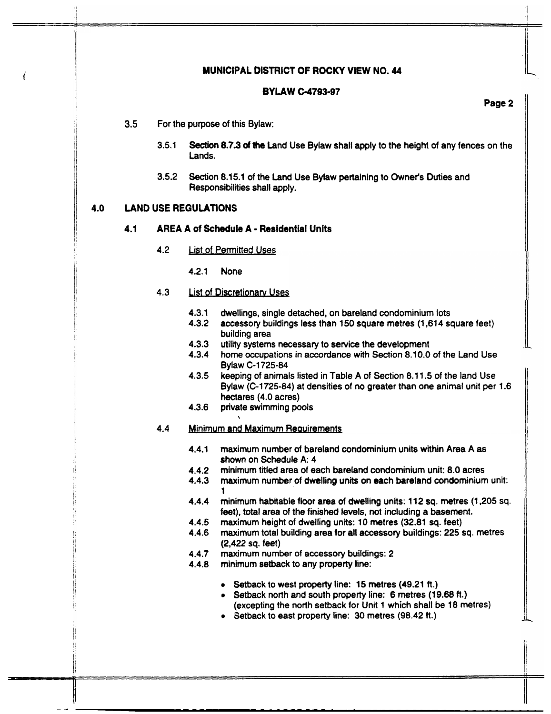# i **MUNICIPAL DISTRICT OF ROCKY VIEW NO. 44**

### **BYLAW** *G4793-9f*

# **Page 2**

- **3.5** For the purpose of this Bylaw:
	- **3.5.1** Section **8.7.3** of the Land Use Bylaw shall apply to the height of any fences on the Lands.
	- Section 8.15.1 of the Land Use Bylaw pertaining to Owner's Duties and Responsibilities shall apply. **3.5.2**

# **4.0 LAND USE REGULATIONS**

### **4.1 AREA A of Schedule A** - **Residential Units**

- **4.2**  List **of** Permitted Uses
	- **4.2.1** None

#### **4.3**  List of Discretionary Uses

- **4.3.1**  dwellings, single detached, on bareland condominium lots
- **4.3.2**  accessory buildings less than **150** square metres **(1,614** square feet) building area
- **4.3.3**  utility systems necessary to service the development
- **4.3.4**  home occupations in accordance with Section 8.10.0 of the Land **Use**  Bylaw C-1725-84
- **4.3.5**  keeping of animals listed in Table A of Section 8.1 1.5 of the land Use Bylaw **(C-1725-84)** at densities **of** no greater than one animal unit per **1.6**  hectares **(4.0** acres)
- **4.3.6 private** swimming **pools**

#### **4.4**  Minimum and Maximum Reauirements

 $\ddot{\phantom{0}}$ 

- **4.4.1**  maximum number of bareland condominium units within Area A as shown on Schedule A: **4**
- **4.4.2**  minimum titled area of each bareland condominium unit: 8.0 acres
- **4.4.3**  maximum number of dwelling units on each bareland condominium unit: 1
- **4.4.4**  minimum habitable floor area of dwelling units: 112 sq. metres (1,205 **sq.**  feet), total **area** of the finished levels, not including a basement.
- **4.4.5**  maximum height of dwelling units: **10** metres **(32.81 sq.** feet)
- **4.4.6**  maximum total building area for all accessory buildings: **225** sq. metres **(2,422** sq. feet)
- **4.4.7**  maximum number of accessory buildings: **2**
- **4.4.8**  minimum setback to any property line:
	- **8** Setback to west property line: 15 metres (49.21 ft.)
	- *<sup>0</sup>*Setback north and south property line: 6 metres (19.68 **ft.)**  (excepting **the** north setback for Unit 1 which shall be 18 metres)
	- Setback to east property line: **30** metres **(98.42** ft.)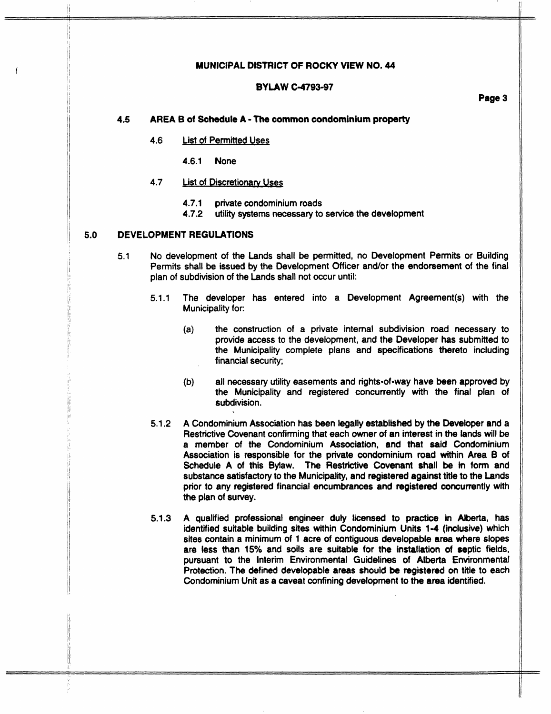#### **MUNICIPAL DISTRICT OF ROCKY VIEW NO. 44**

## **BYLAW C-4793-97**

**Page 3** 

#### **4.5 AREA B of Schedule A** - The **common condominium property**

#### **4.6 List of Permitted Uses**

**4.6.1** None

### **4.7 List of Discretionary Uses**

- **4.7.1** private condominium roads
- **4.7.2** utility systems necessary to service the development

### **5.0 DEVELOPMENT REGULATIONS**

I!

- **5.1** No development of the Lands shall be permitted, no Development Permits or Building Permits shall be issued by the Development Officer and/or the endorsement of the final plan of subdivision of the Lands shall not occur until:
	- 5.1.1 The developer has entered into a Development Agreement(s) with the Municipality for:
		- **(a)** the construction of a private internal subdivision road necessary to provide access to the development, and the Developer has submitted to the Municipallty complete plans and specifications thereto including financial security;
		- **(b)** all necessary utiltty easements and rights-of-way have been approved by the Municipality and registered concurrently with the final plan of subdivision.
	- **5.1.2** A Condominium Association has been legally established **by the** Developer and a Restrictive Covenant confirming that each owner of an interest in the lands will be a member of **the** Condominium Association, and that said Condominium Association is responsible **for** the private colldominium road within Area **8** of Schedule A of this Bylaw. The Restrictive Covenant shall be in form and substance satisfactory to the Municipality, and registered against title to the Lands prior to any registered financial encumbrances and registered concurrently with **the** plan of survey.
	- **5.1.3** A qualified professional engineer duty licensed to practice in Alberta, has identified suitable building sites within Condominium Units 1-4 (inclusive) which sites contain a minimum of **1** acre of contiguous developable area where slopes are less than 15% and soils are suitable for the installation of septic fields, pursuant to the Interim Environmental Guidelines of Alberta Environmental Protection. The defined developable areas should be registered *on* title to each Condominium Unit as a caveat confining development to **the** area identified.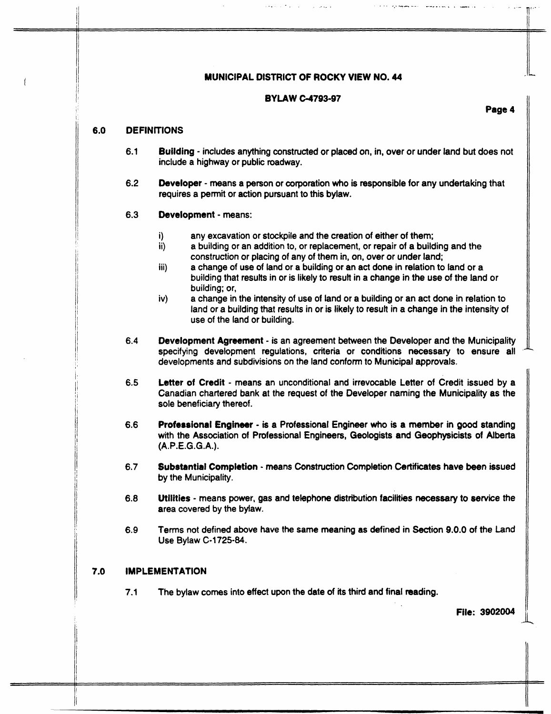# **MUNICIPAL DISTRICT OF ROCKY VIEW NO. 44**

### **BYLAW C-4793-97**

**Page 4** 

### *6.0* **DEFINITIONS**

- **6.1 Building** - includes anything constructed **or** placed on, in, over **or** under land but does not include a highway **or** public roadway.
- *6.2*  **Developer** - means a person **or** corporation who is responsible **for** any undertaking that requires a permit **or** action pursuant to this bylaw.

#### **6.3 Development** - means:

- i) any excavation **or** stockpile and the creation of either of them;
- ii) a building **or** an addition to, **or** replacement, **or** repair of a building and the construction **or** placing of any of them in, on, over **or** under land;
- iii) a change of use of land **or** a building **or** an act done in relation to land **or** a building that results in or is likely to result in a change in the use of the land **or**  building; **or,**
- iv) a change in the intensity of use of land **or** a building or an act done in relation to land **or** a building that results in **or** is likely to result in a change in the intensity of use of the land or building.
- **6.4 Development Agreement** - is an agreement between the Developer and the Municipality specifying development regulations, criteria **or** conditions necessary to ensure all developments and subdivisions on the land conform to Municipal approvals.
- *6.5*  Letter of Credit - means an unconditional and irrevocable Letter of Credit issued by a Canadian chartered bank at the request of the Developer naming the Municipality as the **sole** beneficiary thereof.
- *6.6*  **Professional Engineer** - **is a** Professional Engineer who is a **member** in **good** standing with the Association of Professional Engineers, Geologists and Geophysicists of Alberta (A.P.E.G.G.A.).
- *6.7*  **\$ubstantial Completion** - means Construction Completion Certificates have **been** issued by the Municipality.
- *6.8*  Utilities - means power, gas and telephone distribution facilities **necessary** to service the **area** covered by the bylaw.
- **6.9 Terns** not defined above have the same meaning as defined in Section **9.0.0** of the Land Use Bylaw **C-1725-84.**

# *7.0* **IMPLEMENTATION**

**7.1** The bylaw comes into effect upon the date of its third and final reading.

**File: 3902004**